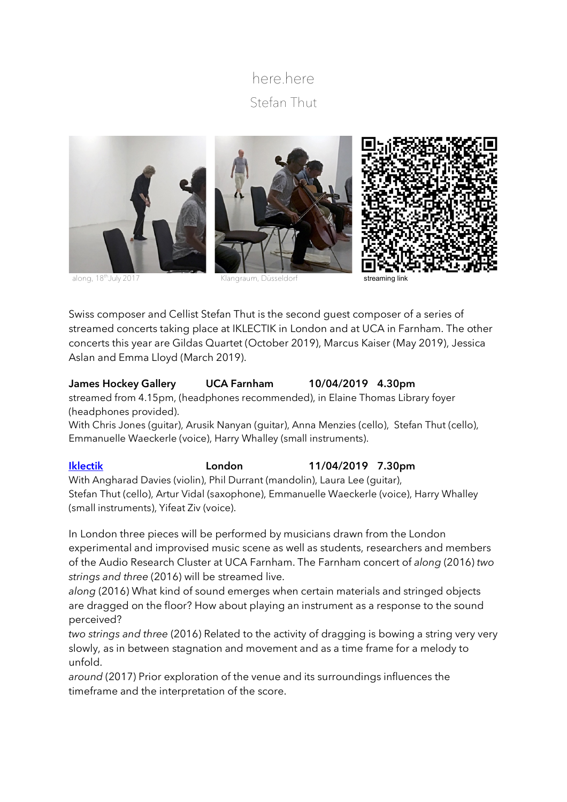# here.here Stefan Thut



along, 18<sup>th</sup>July 2017 **Klangraum, Düsseldorf** streaming link

Swiss composer and Cellist Stefan Thut is the second guest composer of a series of streamed concerts taking place at IKLECTIK in London and at UCA in Farnham. The other concerts this year are Gildas Quartet (October 2019), Marcus Kaiser (May 2019), Jessica Aslan and Emma Lloyd (March 2019).

## **James Hockey Gallery UCA Farnham 10/04/2019 4.30pm**

streamed from 4.15pm, (headphones recommended), in Elaine Thomas Library foyer (headphones provided).

With Chris Jones (guitar), Arusik Nanyan (guitar), Anna Menzies (cello), Stefan Thut (cello), Emmanuelle Waeckerle (voice), Harry Whalley (small instruments).

## **Iklectik London 11/04/2019 7.30pm**

With Angharad Davies (violin), Phil Durrant (mandolin), Laura Lee (guitar), Stefan Thut (cello), Artur Vidal (saxophone), Emmanuelle Waeckerle (voice), Harry Whalley (small instruments), Yifeat Ziv (voice).

In London three pieces will be performed by musicians drawn from the London experimental and improvised music scene as well as students, researchers and members of the Audio Research Cluster at UCA Farnham. The Farnham concert of *along* (2016) *two strings and three* (2016) will be streamed live.

*along* (2016) What kind of sound emerges when certain materials and stringed objects are dragged on the floor? How about playing an instrument as a response to the sound perceived?

*two strings and three* (2016) Related to the activity of dragging is bowing a string very very slowly, as in between stagnation and movement and as a time frame for a melody to unfold.

*around* (2017) Prior exploration of the venue and its surroundings influences the timeframe and the interpretation of the score.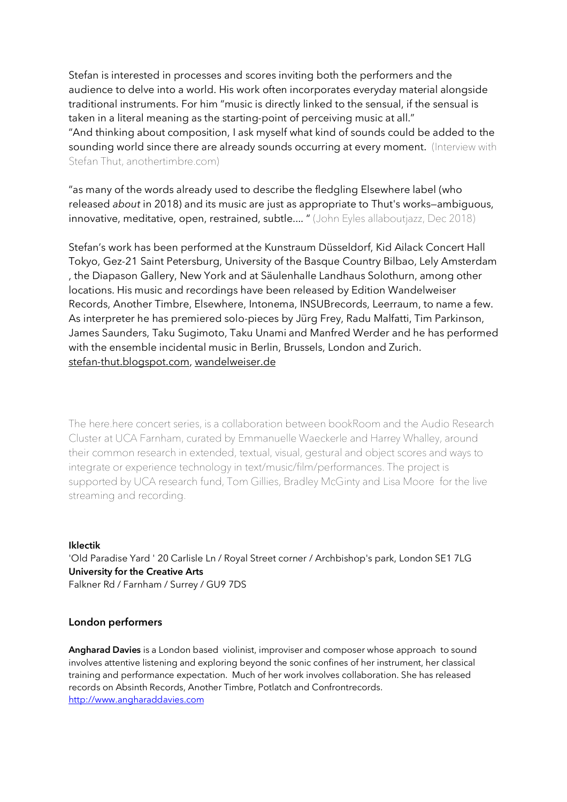Stefan is interested in processes and scores inviting both the performers and the audience to delve into a world. His work often incorporates everyday material alongside traditional instruments. For him "music is directly linked to the sensual, if the sensual is taken in a literal meaning as the starting-point of perceiving music at all." "And thinking about composition, I ask myself what kind of sounds could be added to the sounding world since there are already sounds occurring at every moment. (Interview with Stefan Thut, anothertimbre.com)

"as many of the words already used to describe the fledgling Elsewhere label (who released *about* in 2018) and its music are just as appropriate to Thut's works—ambiguous, innovative, meditative, open, restrained, subtle.... " (John Eyles allaboutjazz, Dec 2018)

Stefan's work has been performed at the Kunstraum Düsseldorf, Kid Ailack Concert Hall Tokyo, Gez-21 Saint Petersburg, University of the Basque Country Bilbao, Lely Amsterdam , the Diapason Gallery, New York and at Säulenhalle Landhaus Solothurn, among other locations. His music and recordings have been released by Edition Wandelweiser Records, Another Timbre, Elsewhere, Intonema, INSUBrecords, Leerraum, to name a few. As interpreter he has premiered solo-pieces by Jürg Frey, Radu Malfatti, Tim Parkinson, James Saunders, Taku Sugimoto, Taku Unami and Manfred Werder and he has performed with the ensemble incidental music in Berlin, Brussels, London and Zurich. stefan-thut.blogspot.com, wandelweiser.de

The here.here concert series, is a collaboration between bookRoom and the Audio Research Cluster at UCA Farnham, curated by Emmanuelle Waeckerle and Harrey Whalley, around their common research in extended, textual, visual, gestural and object scores and ways to integrate or experience technology in text/music/film/performances. The project is supported by UCA research fund, Tom Gillies, Bradley McGinty and Lisa Moore for the live streaming and recording.

### **Iklectik**

'Old Paradise Yard ' 20 Carlisle Ln / Royal Street corner / Archbishop's park, London SE1 7LG **University for the Creative Arts**  Falkner Rd / Farnham / Surrey / GU9 7DS

### **London performers**

**Angharad Davies** is a London based violinist, improviser and composer whose approach to sound involves attentive listening and exploring beyond the sonic confines of her instrument, her classical training and performance expectation. Much of her work involves collaboration. She has released records on Absinth Records, Another Timbre, Potlatch and Confrontrecords. http://www.angharaddavies.com